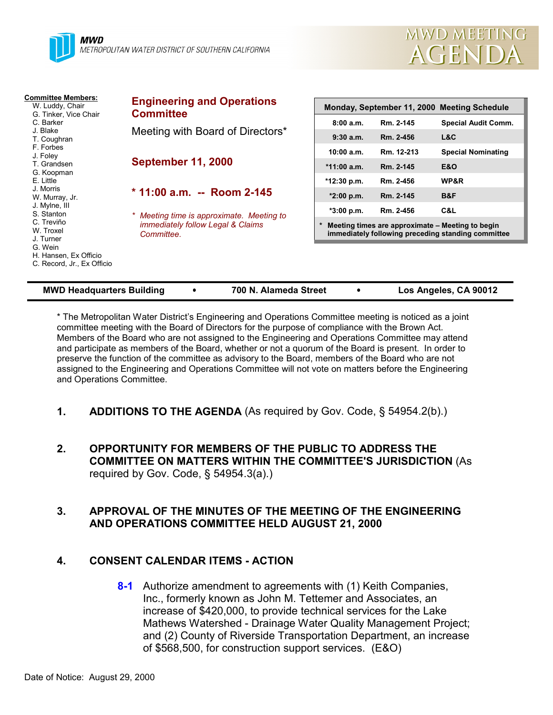

| <b>Committee Members:</b><br>W. Luddy, Chair<br>G. Tinker, Vice Chair<br>C. Barker<br>J. Blake<br>T. Coughran | <b>Engineering and Operations</b><br><b>Committee</b>                                                                                                   | Monday, September 11, 2000 Meeting Schedule                                                            |            |                            |  |
|---------------------------------------------------------------------------------------------------------------|---------------------------------------------------------------------------------------------------------------------------------------------------------|--------------------------------------------------------------------------------------------------------|------------|----------------------------|--|
|                                                                                                               | Meeting with Board of Directors*                                                                                                                        | 8:00a.m.                                                                                               | Rm. 2-145  | <b>Special Audit Comm.</b> |  |
|                                                                                                               |                                                                                                                                                         | 9:30a.m.                                                                                               | Rm. 2-456  | L&C                        |  |
| F. Forbes<br>J. Foley                                                                                         | <b>September 11, 2000</b><br>$*$ 11:00 a.m. -- Room 2-145<br>Meeting time is approximate. Meeting to<br>immediately follow Legal & Claims<br>Committee. | 10:00 a.m.                                                                                             | Rm. 12-213 | <b>Special Nominating</b>  |  |
| T. Grandsen<br>G. Koopman                                                                                     |                                                                                                                                                         | $*11:00$ a.m.                                                                                          | Rm. 2-145  | <b>E&amp;O</b>             |  |
| E. Little                                                                                                     |                                                                                                                                                         | *12:30 p.m.                                                                                            | Rm. 2-456  | WP&R                       |  |
| J. Morris<br>W. Murray, Jr.                                                                                   |                                                                                                                                                         | $*2:00 p.m.$                                                                                           | Rm. 2-145  | B&F                        |  |
| J. Mylne, III<br>S. Stanton                                                                                   |                                                                                                                                                         | $*3:00 p.m.$                                                                                           | Rm. 2-456  | C&L                        |  |
| C. Treviño<br>W. Troxel<br>J. Turner<br>G. Wein<br>H. Hansen, Ex Officio<br>C. Record, Jr., Ex Officio        |                                                                                                                                                         | Meeting times are approximate - Meeting to begin<br>immediately following preceding standing committee |            |                            |  |
|                                                                                                               |                                                                                                                                                         |                                                                                                        |            |                            |  |

\* The Metropolitan Water District's Engineering and Operations Committee meeting is noticed as a joint committee meeting with the Board of Directors for the purpose of compliance with the Brown Act. Members of the Board who are not assigned to the Engineering and Operations Committee may attend and participate as members of the Board, whether or not a quorum of the Board is present. In order to preserve the function of the committee as advisory to the Board, members of the Board who are not assigned to the Engineering and Operations Committee will not vote on matters before the Engineering and Operations Committee.

**MWD Headquarters Building** ! **700 N. Alameda Street** ! **Los Angeles, CA 90012**

- **1. ADDITIONS TO THE AGENDA** (As required by Gov. Code, § 54954.2(b).)
- **2. OPPORTUNITY FOR MEMBERS OF THE PUBLIC TO ADDRESS THE COMMITTEE ON MATTERS WITHIN THE COMMITTEE'S JURISDICTION** (As required by Gov. Code,  $\S$  54954.3(a).)

### **3. APPROVAL OF THE MINUTES OF THE MEETING OF THE ENGINEERING AND OPERATIONS COMMITTEE HELD AUGUST 21, 2000**

#### **4. CONSENT CALENDAR ITEMS - ACTION**

**8-1** Authorize amendment to agreements with (1) Keith Companies, Inc., formerly known as John M. Tettemer and Associates, an increase of \$420,000, to provide technical services for the Lake Mathews Watershed - Drainage Water Quality Management Project; and (2) County of Riverside Transportation Department, an increase of \$568,500, for construction support services. (E&O)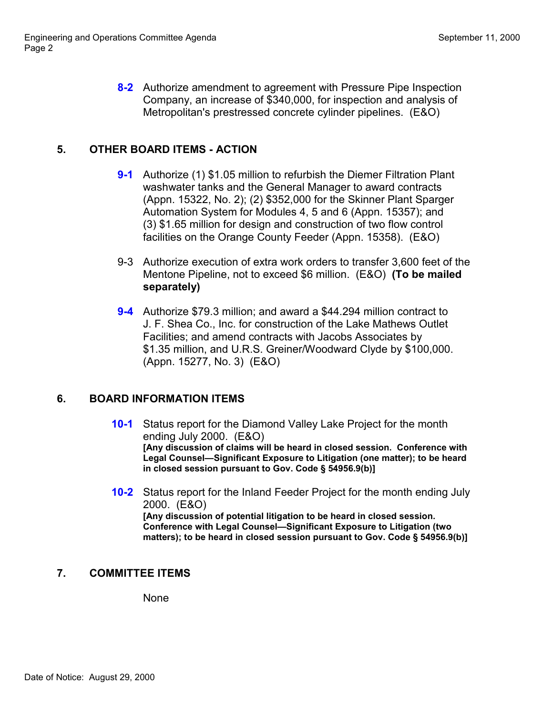**8-2** Authorize amendment to agreement with Pressure Pipe Inspection Company, an increase of \$340,000, for inspection and analysis of Metropolitan's prestressed concrete cylinder pipelines. (E&O)

# **5. OTHER BOARD ITEMS - ACTION**

- **9-1** Authorize (1) \$1.05 million to refurbish the Diemer Filtration Plant washwater tanks and the General Manager to award contracts (Appn. 15322, No. 2); (2) \$352,000 for the Skinner Plant Sparger Automation System for Modules 4, 5 and 6 (Appn. 15357); and (3) \$1.65 million for design and construction of two flow control facilities on the Orange County Feeder (Appn. 15358). (E&O)
- 9-3 Authorize execution of extra work orders to transfer 3,600 feet of the Mentone Pipeline, not to exceed \$6 million. (E&O) **(To be mailed separately)**
- **9-4** Authorize \$79.3 million; and award a \$44.294 million contract to J. F. Shea Co., Inc. for construction of the Lake Mathews Outlet Facilities; and amend contracts with Jacobs Associates by \$1.35 million, and U.R.S. Greiner/Woodward Clyde by \$100,000. (Appn. 15277, No. 3) (E&O)

## **6. BOARD INFORMATION ITEMS**

- **10-1** Status report for the Diamond Valley Lake Project for the month ending July 2000. (E&O) **[Any discussion of claims will be heard in closed session. Conference with Legal Counsel—Significant Exposure to Litigation (one matter); to be heard in closed session pursuant to Gov. Code § 54956.9(b)]**
- **10-2** Status report for the Inland Feeder Project for the month ending July 2000. (E&O) **[Any discussion of potential litigation to be heard in closed session.**

**Conference with Legal Counsel—Significant Exposure to Litigation (two matters); to be heard in closed session pursuant to Gov. Code § 54956.9(b)]**

# **7. COMMITTEE ITEMS**

None